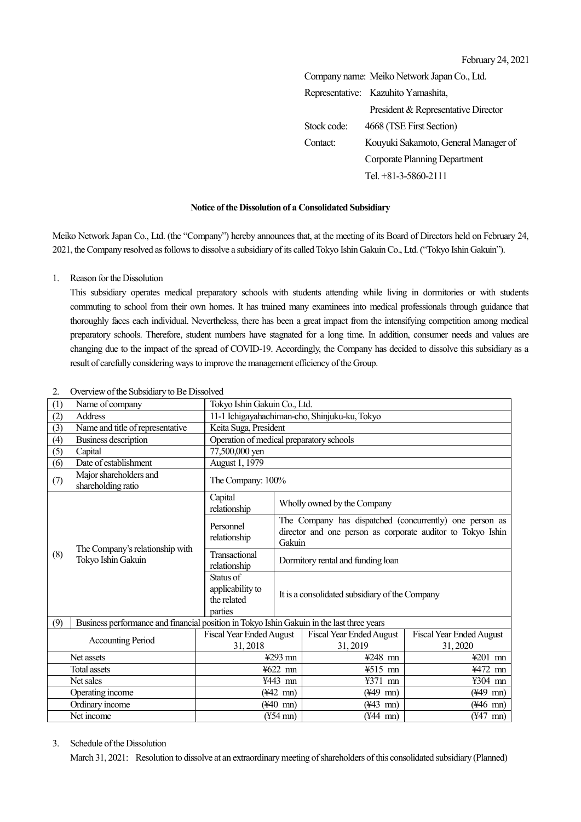February 24, 2021

|             | Company name: Meiko Network Japan Co., Ltd. |  |
|-------------|---------------------------------------------|--|
|             | Representative: Kazuhito Yamashita,         |  |
|             | President & Representative Director         |  |
| Stock code: | 4668 (TSE First Section)                    |  |
| Contact:    | Kouyuki Sakamoto, General Manager of        |  |
|             | <b>Corporate Planning Department</b>        |  |
|             | Tel. $+81-3-5860-2111$                      |  |
|             |                                             |  |

### **Notice of the Dissolution of a Consolidated Subsidiary**

Meiko Network Japan Co., Ltd. (the "Company") hereby announces that, at the meeting of its Board of Directors held on February 24, 2021, the Company resolved as follows to dissolve a subsidiary of its called Tokyo Ishin GakuinCo., Ltd.("Tokyo Ishin Gakuin").

#### 1. Reason for the Dissolution

This subsidiary operates medical preparatory schools with students attending while living in dormitories or with students commuting to school from their own homes. It has trained many examinees into medical professionals through guidance that thoroughly faces each individual. Nevertheless, there has been a great impact from the intensifying competition among medical preparatory schools. Therefore, student numbers have stagnated for a long time. In addition, consumer needs and values are changing due to the impact of the spread of COVID-19. Accordingly, the Company has decided to dissolve this subsidiary as a result of carefully considering ways to improve the management efficiency of the Group.

| (1)                                                                                              | Name of company                                       |                                                         | Tokyo Ishin Gakuin Co., Ltd.                                                                                                     |                                             |                                            |  |  |
|--------------------------------------------------------------------------------------------------|-------------------------------------------------------|---------------------------------------------------------|----------------------------------------------------------------------------------------------------------------------------------|---------------------------------------------|--------------------------------------------|--|--|
| (2)                                                                                              | <b>Address</b>                                        | 11-1 Ichigayahachiman-cho, Shinjuku-ku, Tokyo           |                                                                                                                                  |                                             |                                            |  |  |
| (3)                                                                                              | Name and title of representative                      | Keita Suga, President                                   |                                                                                                                                  |                                             |                                            |  |  |
| (4)                                                                                              | <b>Business description</b>                           | Operation of medical preparatory schools                |                                                                                                                                  |                                             |                                            |  |  |
| (5)                                                                                              | Capital                                               | 77,500,000 yen                                          |                                                                                                                                  |                                             |                                            |  |  |
| (6)                                                                                              | Date of establishment                                 | August 1, 1979                                          |                                                                                                                                  |                                             |                                            |  |  |
| (7)                                                                                              | Major shareholders and<br>shareholding ratio          | The Company: 100%                                       |                                                                                                                                  |                                             |                                            |  |  |
| (8)                                                                                              |                                                       | Capital<br>relationship                                 | Wholly owned by the Company                                                                                                      |                                             |                                            |  |  |
|                                                                                                  |                                                       | Personnel<br>relationship                               | The Company has dispatched (concurrently) one person as<br>director and one person as corporate auditor to Tokyo Ishin<br>Gakuin |                                             |                                            |  |  |
|                                                                                                  | The Company's relationship with<br>Tokyo Ishin Gakuin | Transactional<br>relationship                           | Dormitory rental and funding loan                                                                                                |                                             |                                            |  |  |
|                                                                                                  |                                                       | Status of<br>applicability to<br>the related<br>parties | It is a consolidated subsidiary of the Company                                                                                   |                                             |                                            |  |  |
| Business performance and financial position in Tokyo Ishin Gakuin in the last three years<br>(9) |                                                       |                                                         |                                                                                                                                  |                                             |                                            |  |  |
| <b>Accounting Period</b>                                                                         |                                                       | <b>Fiscal Year Ended August</b><br>31,2018              |                                                                                                                                  | <b>Fiscal Year Ended August</b><br>31, 2019 | <b>Fiscal Year Ended August</b><br>31,2020 |  |  |
| Net assets                                                                                       |                                                       | ¥293 mn                                                 |                                                                                                                                  | ¥248 mn                                     | ¥201 mn                                    |  |  |
| <b>Total assets</b>                                                                              |                                                       | ¥622 mn                                                 |                                                                                                                                  | ¥515 mn                                     | ¥472 mn                                    |  |  |
| Net sales                                                                                        |                                                       | ¥443 mm                                                 |                                                                                                                                  | ¥371<br>mn                                  | ¥304 mn                                    |  |  |
| Operating income                                                                                 |                                                       | $(\frac{1}{42}$ mn)                                     |                                                                                                                                  | $(\frac{1}{49}$ mn)                         | $(\frac{1}{49}$ mn)                        |  |  |
| Ordinary income                                                                                  |                                                       | $(440 \; \text{mn})$                                    |                                                                                                                                  | $(\frac{1}{4}3 \text{ mn})$                 | $(446 \text{ mm})$                         |  |  |
| Net income                                                                                       |                                                       | $(*54 \, \text{mn})$                                    |                                                                                                                                  | $(444 \text{ mn})$                          | $(447 \text{ mm})$                         |  |  |

#### 2. Overview of the Subsidiary to Be Dissolved

# 3. Schedule of the Dissolution

March 31, 2021: Resolution to dissolve at an extraordinary meeting of shareholders of this consolidated subsidiary (Planned)